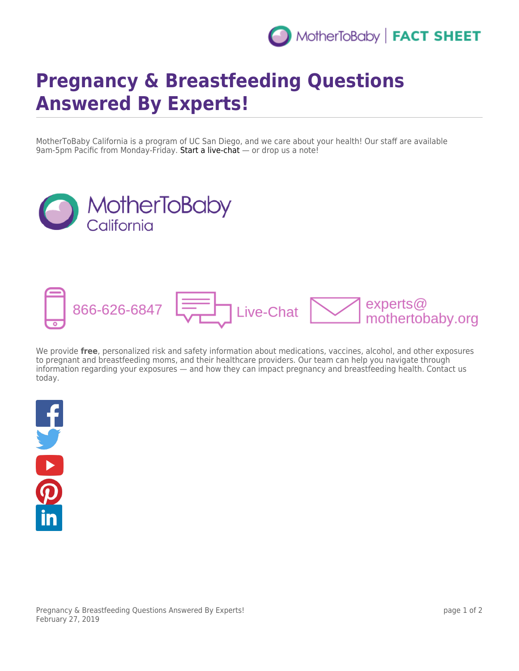

## **Pregnancy & Breastfeeding Questions Answered By Experts!**

MotherToBaby California is a program of UC San Diego, and we care about your health! Our staff are available 9am-5pm Pacific from Monday-Friday. [Start a live-chat](https://www.livehelpnow.net/lhn/lcv.aspx?d=0&ms=&zzwindow=30071&lhnid=4882&custom1=&custom2=&custom3=&pcv=&opid=0&time=3/1/2019%202:37:40%20AM) — or drop us a note!





We provide **free**, personalized risk and safety information about medications, vaccines, alcohol, and other exposures to pregnant and breastfeeding moms, and their healthcare providers. Our team can help you navigate through information regarding your exposures — and how they can impact pregnancy and breastfeeding health. Contact us today.